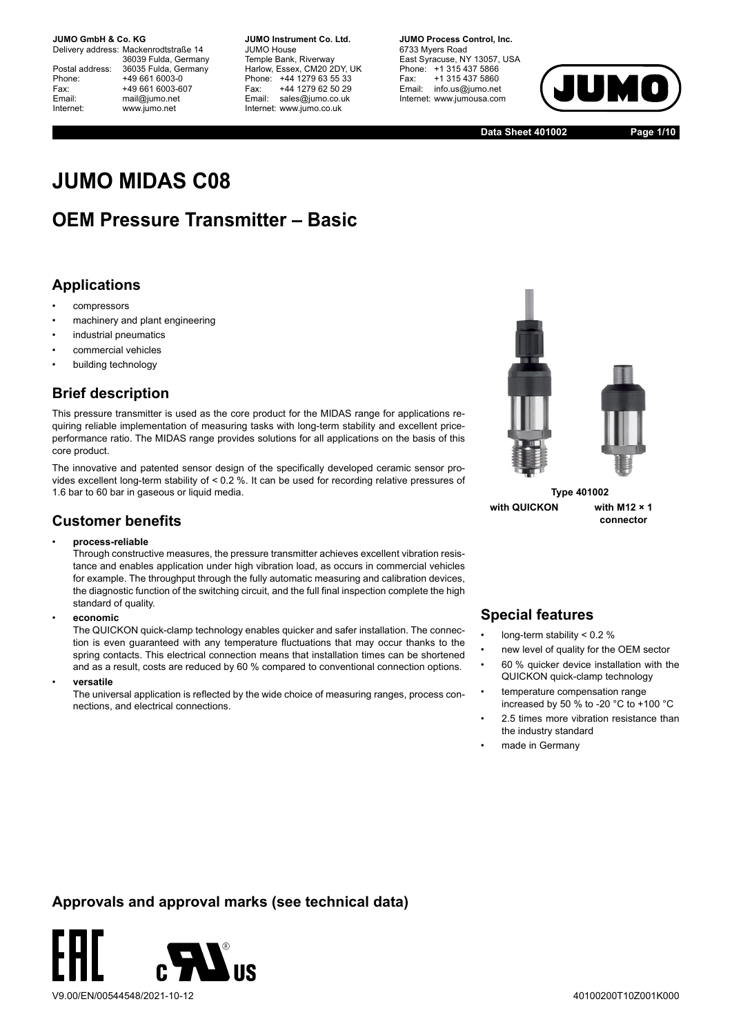Delivery address: Mackenrodtstraße 14 36039 Fulda, Germany Postal address: 36035 Fulda, Germany<br>Phone: +49 661 6003-0 Phone: +49 661 6003-0<br>Fax: +49 661 6003-6 Fax: +49 661 6003-607<br>
Fmail: mail@iumo.net mail@iumo.net Internet: www.jumo.net

**-BUMO Instrument Co. Ltd.** JUMO House Temple Bank, Riverway Harlow, Essex, CM20 2DY, UK Phone: +44 1279 63 55 33<br>Fax: +44 1279 62 50 29 Fax: +44 1279 62 50 29<br>Email: sales@iumo.co.uk sales@jumo.co.uk Internet: www.jumo.co.uk

**-BURG Process Control Inc.** 6733 Myers Road East Syracuse, NY 13057, USA Phone: +1 315 437 5866<br>Fax: +1 315 437 5860 Fax: +1 315 437 5860<br>Email: info.us@jumo.net info.us@jumo.net Internet: www.jumousa.com



**Data Sheet 401002 Page 1/10**

# **JUMO MIDAS C08**

## **OEM Pressure Transmitter – Basic**

### **Applications**

- compressors
- machinery and plant engineering
- industrial pneumatics
- commercial vehicles
- building technology

### **Brief description**

This pressure transmitter is used as the core product for the MIDAS range for applications requiring reliable implementation of measuring tasks with long-term stability and excellent priceperformance ratio. The MIDAS range provides solutions for all applications on the basis of this core product.

The innovative and patented sensor design of the specifically developed ceramic sensor provides excellent long-term stability of < 0.2 %. It can be used for recording relative pressures of 1.6 bar to 60 bar in gaseous or liquid media.

### **Customer benefits**

#### • **process-reliable**

Through constructive measures, the pressure transmitter achieves excellent vibration resistance and enables application under high vibration load, as occurs in commercial vehicles for example. The throughput through the fully automatic measuring and calibration devices, the diagnostic function of the switching circuit, and the full final inspection complete the high standard of quality.

• **economic**

The QUICKON quick-clamp technology enables quicker and safer installation. The connection is even guaranteed with any temperature fluctuations that may occur thanks to the spring contacts. This electrical connection means that installation times can be shortened and as a result, costs are reduced by 60 % compared to conventional connection options.

• **versatile**

The universal application is reflected by the wide choice of measuring ranges, process connections, and electrical connections.



**Type 401002 with QUICKON with M12 × 1**

**connector**

### **Special features**

- long-term stability < 0.2 %
- new level of quality for the OEM sector
- 60 % quicker device installation with the QUICKON quick-clamp technology
- temperature compensation range increased by 50 % to -20 °C to +100 °C
- 2.5 times more vibration resistance than the industry standard
- made in Germany

### **Approvals and approval marks (see technical data)**

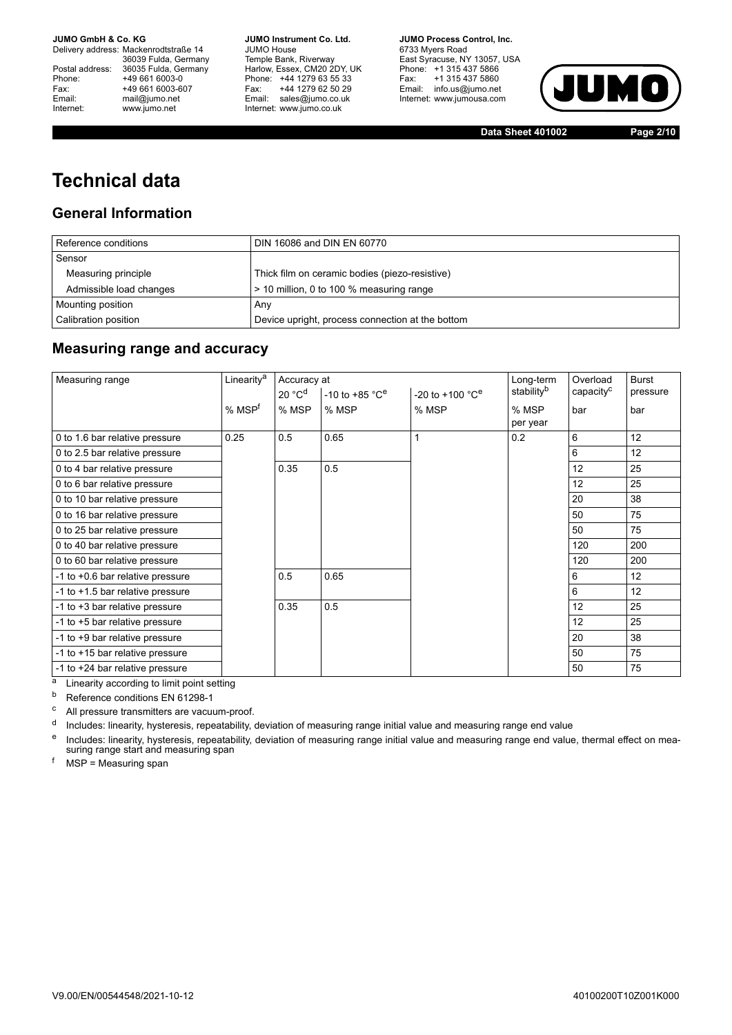Delivery address: Mackenrodtstraße 14 36039 Fulda, Germany<br>Postal address: 36035 Fulda, Germany Phone: +49 661 6003-0<br>
Fax: +49 661 6003-6<br>
Email: mail@jumo.net +49 661 6003-607 mail@jumo.net Internet: www.jumo.net

**JUMO Instrument Co. Ltd.** JUMO House Temple Bank, Riverway<br>Harlow, Essex, CM20 2DY, UK Phone: +44 1279 63 55 33<br>Fax: +44 1279 62 50 29 +44 1279 62 50 29 Email: sales@jumo.co.uk Internet: www.jumo.co.uk

**JUMO Process Control, Inc.** 6733 Myers Road East Syracuse, NY 13057, USA Phone: +1 315 437 5866<br>Fax: +1 315 437 5860 Email: info.us@jumo.net Internet: www.jumousa.com



**Data Sheet 401002 Page 2/10**

## **Technical data**

### **General Information**

| Reference conditions    | DIN 16086 and DIN EN 60770                       |
|-------------------------|--------------------------------------------------|
| Sensor                  |                                                  |
| Measuring principle     | Thick film on ceramic bodies (piezo-resistive)   |
| Admissible load changes | > 10 million, 0 to 100 % measuring range         |
| Mounting position       | Any                                              |
| Calibration position    | Device upright, process connection at the bottom |

### **Measuring range and accuracy**

| Linearity <sup>a</sup> |                    |                                | Long-term                       | Overload | <b>Burst</b>           |          |
|------------------------|--------------------|--------------------------------|---------------------------------|----------|------------------------|----------|
|                        | 20 °C <sup>d</sup> | $-10$ to $+85$ °C <sup>e</sup> | $-20$ to $+100$ °C <sup>e</sup> |          | capacity <sup>c</sup>  | pressure |
| % MSP <sup>f</sup>     | % MSP              | % MSP                          | % MSP                           | % MSP    | bar                    | bar      |
|                        |                    |                                |                                 | per year |                        |          |
| 0.25                   | 0.5                | 0.65                           |                                 | 0.2      | 6                      | 12       |
|                        |                    |                                |                                 |          | 6                      | 12       |
|                        | 0.35               | 0.5                            |                                 |          | 12                     | 25       |
|                        |                    |                                |                                 |          | 12                     | 25       |
|                        |                    |                                |                                 |          | 20                     | 38       |
|                        |                    |                                |                                 |          | 50                     | 75       |
|                        |                    |                                |                                 |          | 50                     | 75       |
|                        |                    |                                |                                 |          | 120                    | 200      |
|                        |                    |                                |                                 |          | 120                    | 200      |
|                        | 0.5                | 0.65                           |                                 |          | 6                      | 12       |
|                        |                    |                                |                                 |          | 6                      | 12       |
|                        | 0.35               | 0.5                            |                                 |          | 12                     | 25       |
|                        |                    |                                |                                 |          | 12                     | 25       |
|                        |                    |                                |                                 |          | 20                     | 38       |
|                        |                    |                                |                                 |          | 50                     | 75       |
|                        |                    |                                |                                 |          | 50                     | 75       |
|                        |                    |                                | Accuracy at                     |          | stability <sup>b</sup> |          |

a Linearity according to limit point setting

b Reference conditions EN 61298-1

<sup>c</sup> All pressure transmitters are vacuum-proof.

<sup>d</sup> Includes: linearity, hysteresis, repeatability, deviation of measuring range initial value and measuring range end value

<sup>e</sup> Includes: linearity, hysteresis, repeatability, deviation of measuring range initial value and measuring range end value, thermal effect on mea-<br>suring range start and measuring span

 $<sup>f</sup>$  MSP = Measuring span</sup>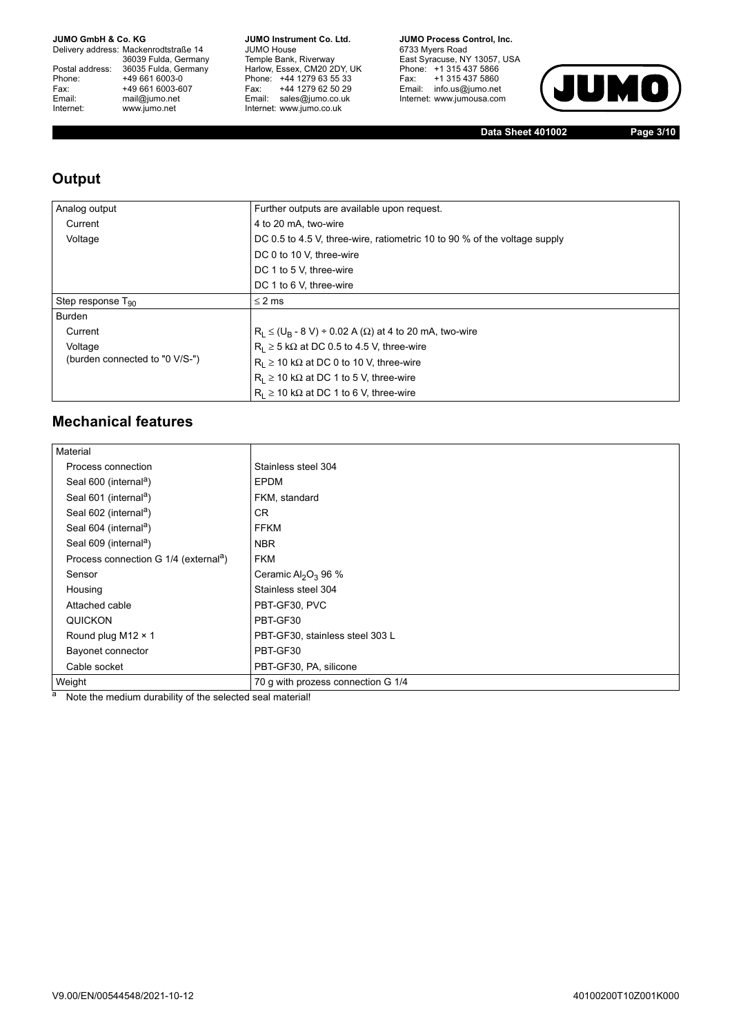Delivery address: Mackenrodtstraße 14 36039 Fulda, Germany<br>Postal address: 36035 Fulda, Germany Phone: +49 661 6003-0<br>
Fax: +49 661 6003-6<br>
Email: mail@jumo.net +49 661 6003-607 Email: mail@jumo.net<br>Internet: www.iumo.net www.jumo.net

**JUMO Instrument Co. Ltd.** JUMO House Temple Bank, Riverway<br>Harlow, Essex, CM20 2DY, UK Phone: +44 1279 63 55 33 Fax: +44 1279 62 50 29<br>Email: sales@jumo.co.uk Internet: www.jumo.co.uk

**JUMO Process Control, Inc.** 6733 Myers Road East Syracuse, NY 13057, USA<br>Phone: +1 315 437 5866<br>Fax: +1 315 437 5860 Email: info.us@jumo.net Internet: www.jumousa.com



**Data Sheet 401002 Page 3/10**

### **Output**

| Analog output                  | Further outputs are available upon request.                               |  |  |  |  |  |  |  |  |
|--------------------------------|---------------------------------------------------------------------------|--|--|--|--|--|--|--|--|
| Current                        | 4 to 20 mA, two-wire                                                      |  |  |  |  |  |  |  |  |
| Voltage                        | DC 0.5 to 4.5 V, three-wire, ratiometric 10 to 90 % of the voltage supply |  |  |  |  |  |  |  |  |
|                                | DC 0 to 10 V, three-wire                                                  |  |  |  |  |  |  |  |  |
|                                | DC 1 to 5 V, three-wire                                                   |  |  |  |  |  |  |  |  |
|                                | DC 1 to 6 V, three-wire                                                   |  |  |  |  |  |  |  |  |
| Step response $T_{90}$         | $\leq$ 2 ms                                                               |  |  |  |  |  |  |  |  |
| Burden                         |                                                                           |  |  |  |  |  |  |  |  |
| Current                        | $R_L \le (U_B - 8 V) \div 0.02 A (\Omega)$ at 4 to 20 mA, two-wire        |  |  |  |  |  |  |  |  |
| Voltage                        | $R_1 \geq 5$ k $\Omega$ at DC 0.5 to 4.5 V, three-wire                    |  |  |  |  |  |  |  |  |
| (burden connected to "0 V/S-") | $R_1 \ge 10$ k $\Omega$ at DC 0 to 10 V, three-wire                       |  |  |  |  |  |  |  |  |
|                                | $R_1 \ge 10 \text{ k}\Omega$ at DC 1 to 5 V, three-wire                   |  |  |  |  |  |  |  |  |
|                                | $R_1 \ge 10$ k $\Omega$ at DC 1 to 6 V, three-wire                        |  |  |  |  |  |  |  |  |

### **Mechanical features**

| Material                                          |                                             |
|---------------------------------------------------|---------------------------------------------|
| Process connection                                | Stainless steel 304                         |
| Seal 600 (internal <sup>a</sup> )                 | EPDM                                        |
| Seal 601 (internal <sup>a</sup> )                 | FKM, standard                               |
| Seal 602 (internal <sup>a</sup> )                 | <b>CR</b>                                   |
| Seal 604 (internal <sup>a</sup> )                 | <b>FFKM</b>                                 |
| Seal 609 (internal <sup>a</sup> )                 | <b>NBR</b>                                  |
| Process connection G 1/4 (external <sup>a</sup> ) | <b>FKM</b>                                  |
| Sensor                                            | Ceramic Al <sub>2</sub> O <sub>3</sub> 96 % |
| Housing                                           | Stainless steel 304                         |
| Attached cable                                    | PBT-GF30, PVC                               |
| QUICKON                                           | PBT-GF30                                    |
| Round plug M12 × 1                                | PBT-GF30, stainless steel 303 L             |
| Bayonet connector                                 | PBT-GF30                                    |
| Cable socket                                      | PBT-GF30, PA, silicone                      |
| Weight                                            | 70 g with prozess connection G 1/4          |

a Note the medium durability of the selected seal material!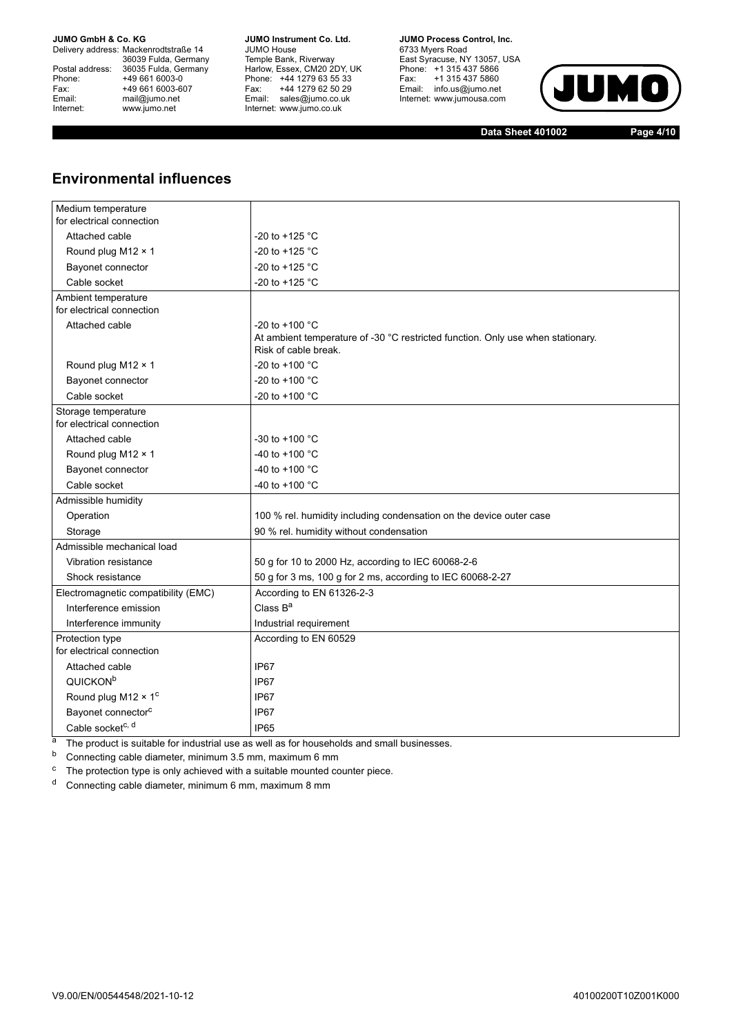Delivery address: Mackenrodtstraße 14 36039 Fulda, Germany<br>Postal address: 36035 Fulda, Germany Phone: +49 661 6003-0<br>
Fax: +49 661 6003-6<br>
Email: mail@jumo.net +49 661 6003-607 Email: mail@jumo.net<br>Internet: www.iumo.net www.jumo.net

**JUMO Instrument Co. Ltd.** JUMO House Temple Bank, Riverway<br>Harlow, Essex, CM20 2DY, UK Phone: +44 1279 63 55 33<br>Fax: +44 1279 62 50 29 +44 1279 62 50 29 Email: sales@jumo.co.uk Internet: www.jumo.co.uk

**JUMO Process Control, Inc.** 6733 Myers Road East Syracuse, NY 13057, USA<br>Phone: +1 315 437 5866<br>Fax: +1 315 437 5860 Fax: +1 315 437 5860<br>Email: info.us@jumo.net Internet: www.jumousa.com



**Data Sheet 401002 Page 4/10**

### **Environmental influences**

| Medium temperature<br>for electrical connection |                                                                                                         |
|-------------------------------------------------|---------------------------------------------------------------------------------------------------------|
| Attached cable                                  | -20 to +125 $^{\circ}$ C                                                                                |
| Round plug M12 × 1                              | -20 to +125 °C                                                                                          |
| Bayonet connector                               | -20 to +125 °C                                                                                          |
| Cable socket                                    | -20 to +125 $^{\circ}$ C                                                                                |
| Ambient temperature                             |                                                                                                         |
| for electrical connection                       |                                                                                                         |
| Attached cable                                  | -20 to +100 $^{\circ}$ C                                                                                |
|                                                 | At ambient temperature of -30 °C restricted function. Only use when stationary.<br>Risk of cable break. |
| Round plug M12 × 1                              | -20 to +100 $^{\circ}$ C                                                                                |
| Bayonet connector                               | -20 to +100 $^{\circ}$ C                                                                                |
| Cable socket                                    | -20 to +100 $^{\circ}$ C                                                                                |
| Storage temperature                             |                                                                                                         |
| for electrical connection                       |                                                                                                         |
| Attached cable                                  | -30 to +100 $^{\circ}$ C                                                                                |
| Round plug M12 × 1                              | -40 to +100 $^{\circ}$ C                                                                                |
| Bayonet connector                               | -40 to +100 °C                                                                                          |
| Cable socket                                    | -40 to +100 °C                                                                                          |
| Admissible humidity                             |                                                                                                         |
| Operation                                       | 100 % rel. humidity including condensation on the device outer case                                     |
| Storage                                         | 90 % rel. humidity without condensation                                                                 |
| Admissible mechanical load                      |                                                                                                         |
| Vibration resistance                            | 50 g for 10 to 2000 Hz, according to IEC 60068-2-6                                                      |
| Shock resistance                                | 50 g for 3 ms, 100 g for 2 ms, according to IEC 60068-2-27                                              |
| Electromagnetic compatibility (EMC)             | According to EN 61326-2-3                                                                               |
| Interference emission                           | Class $B^a$                                                                                             |
| Interference immunity                           | Industrial requirement                                                                                  |
| Protection type                                 | According to EN 60529                                                                                   |
| for electrical connection                       |                                                                                                         |
| Attached cable                                  | IP <sub>67</sub>                                                                                        |
| QUICKON <sup>b</sup>                            | IP <sub>67</sub>                                                                                        |
| Round plug M12 $\times$ 1 <sup>c</sup>          | IP67                                                                                                    |
| Bayonet connector <sup>c</sup>                  | IP67                                                                                                    |
| Cable socket <sup>c, d</sup>                    | IP <sub>65</sub>                                                                                        |

<sup>a</sup> The product is suitable for industrial use as well as for households and small businesses.

<sup>b</sup> Connecting cable diameter, minimum 3.5 mm, maximum 6 mm

 $\degree$  The protection type is only achieved with a suitable mounted counter piece.

<sup>d</sup> Connecting cable diameter, minimum 6 mm, maximum 8 mm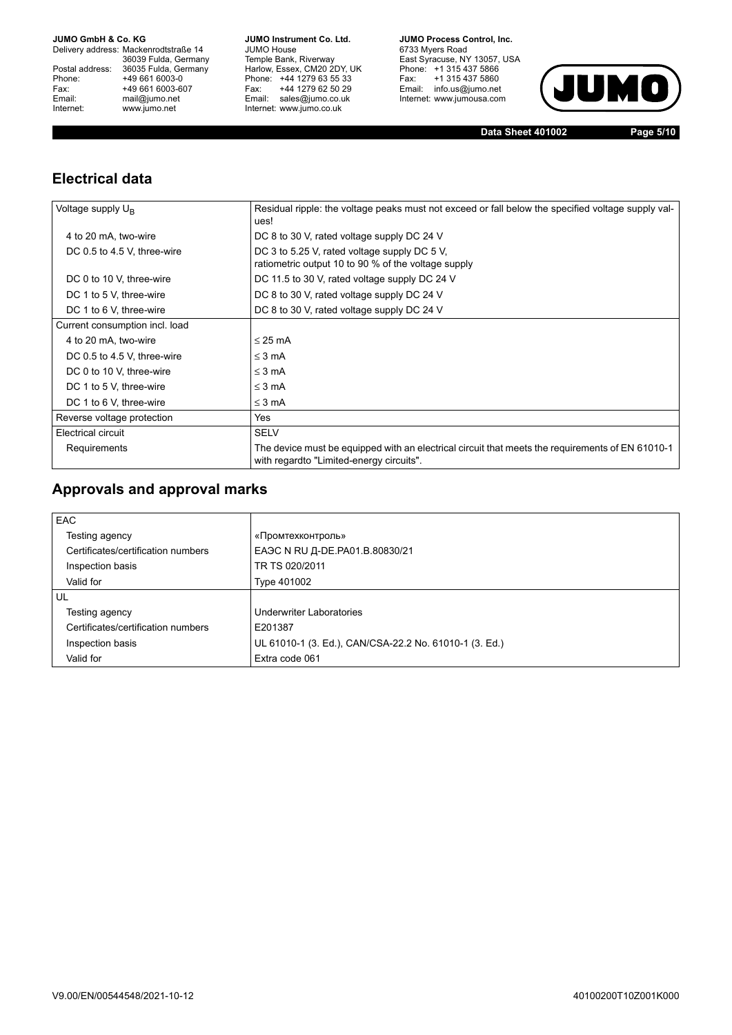Delivery address: Mackenrodtstraße 14 36039 Fulda, Germany<br>Postal address: 36035 Fulda, Germany Phone: +49 661 6003-0<br>
Fax: +49 661 6003-6<br>
Email: mail@jumo.net +49 661 6003-607 Email: mail@jumo.net<br>Internet: www.iumo.net www.jumo.net

**JUMO Instrument Co. Ltd.** JUMO House Temple Bank, Riverway<br>Harlow, Essex, CM20 2DY, UK Phone: +44 1279 63 55 33 Fax: +44 1279 62 50 29<br>Email: sales@jumo.co.uk Internet: www.jumo.co.uk

**JUMO Process Control, Inc.** 6733 Myers Road East Syracuse, NY 13057, USA<br>Phone: +1 315 437 5866<br>Fax: +1 315 437 5860 Email: info.us@jumo.net Internet: www.jumousa.com



**Data Sheet 401002 Page 5/10**

### **Electrical data**

| Voltage supply $U_{B}$         | Residual ripple: the voltage peaks must not exceed or fall below the specified voltage supply val-<br>ues!                                   |
|--------------------------------|----------------------------------------------------------------------------------------------------------------------------------------------|
| 4 to 20 mA, two-wire           | DC 8 to 30 V, rated voltage supply DC 24 V                                                                                                   |
| DC 0.5 to 4.5 V, three-wire    | DC 3 to 5.25 V, rated voltage supply DC 5 V,<br>ratiometric output 10 to 90 % of the voltage supply                                          |
| DC 0 to 10 V, three-wire       | DC 11.5 to 30 V, rated voltage supply DC 24 V                                                                                                |
| DC 1 to 5 V, three-wire        | DC 8 to 30 V, rated voltage supply DC 24 V                                                                                                   |
| DC 1 to 6 V, three-wire        | DC 8 to 30 V, rated voltage supply DC 24 V                                                                                                   |
| Current consumption incl. load |                                                                                                                                              |
| 4 to 20 mA, two-wire           | $\leq$ 25 mA                                                                                                                                 |
| DC 0.5 to 4.5 V, three-wire    | $\leq$ 3 mA                                                                                                                                  |
| DC 0 to 10 V, three-wire       | $\leq$ 3 mA                                                                                                                                  |
| DC 1 to 5 V, three-wire        | $\leq$ 3 mA                                                                                                                                  |
| DC 1 to 6 V, three-wire        | $\leq$ 3 mA                                                                                                                                  |
| Reverse voltage protection     | Yes                                                                                                                                          |
| Electrical circuit             | <b>SELV</b>                                                                                                                                  |
| Requirements                   | The device must be equipped with an electrical circuit that meets the requirements of EN 61010-1<br>with regardto "Limited-energy circuits". |

### **Approvals and approval marks**

| <b>EAC</b>                         |                                                        |
|------------------------------------|--------------------------------------------------------|
| Testing agency                     | «Промтехконтроль»                                      |
| Certificates/certification numbers | ЕАЭС N RU Д-DE.PA01.B.80830/21                         |
| Inspection basis                   | TR TS 020/2011                                         |
| Valid for                          | Type 401002                                            |
| UL                                 |                                                        |
| Testing agency                     | Underwriter Laboratories                               |
| Certificates/certification numbers | E201387                                                |
| Inspection basis                   | UL 61010-1 (3. Ed.), CAN/CSA-22.2 No. 61010-1 (3. Ed.) |
| Valid for                          | Extra code 061                                         |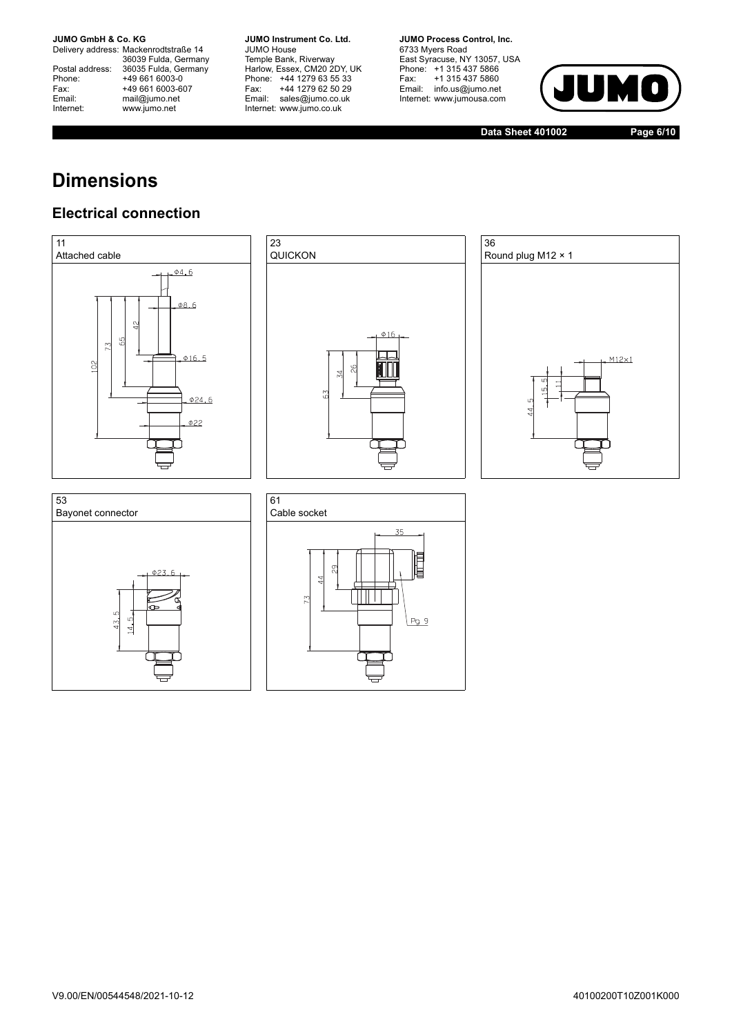Delivery address: Mackenrodtstraße 14 36039 Fulda, Germany<br>Postal address: 36035 Fulda, Germany Phone: +49 661 6003-0<br>
Fax: +49 661 6003-6<br>
Email: mail@jumo.net +49 661 6003-607 Email: mail@jumo.net<br>Internet: www.iumo.net www.jumo.net

**JUMO Instrument Co. Ltd.** JUMO House Temple Bank, Riverway<br>Harlow, Essex, CM20 2DY, UK Phone: +44 1279 63 55 33<br>Fax: +44 1279 62 50 29 +44 1279 62 50 29 Email: sales@jumo.co.uk Internet: www.jumo.co.uk

**JUMO Process Control, Inc.** 6733 Myers Road East Syracuse, NY 13057, USA<br>Phone: +1 315 437 5866<br>Fax: +1 315 437 5860  $P$ <sup>1</sup> 313 437 3000<br>Email: info.us@jumo.net Internet: www.jumousa.com



**Data Sheet 401002 Page 6/10**

## **Dimensions**

### **Electrical connection**









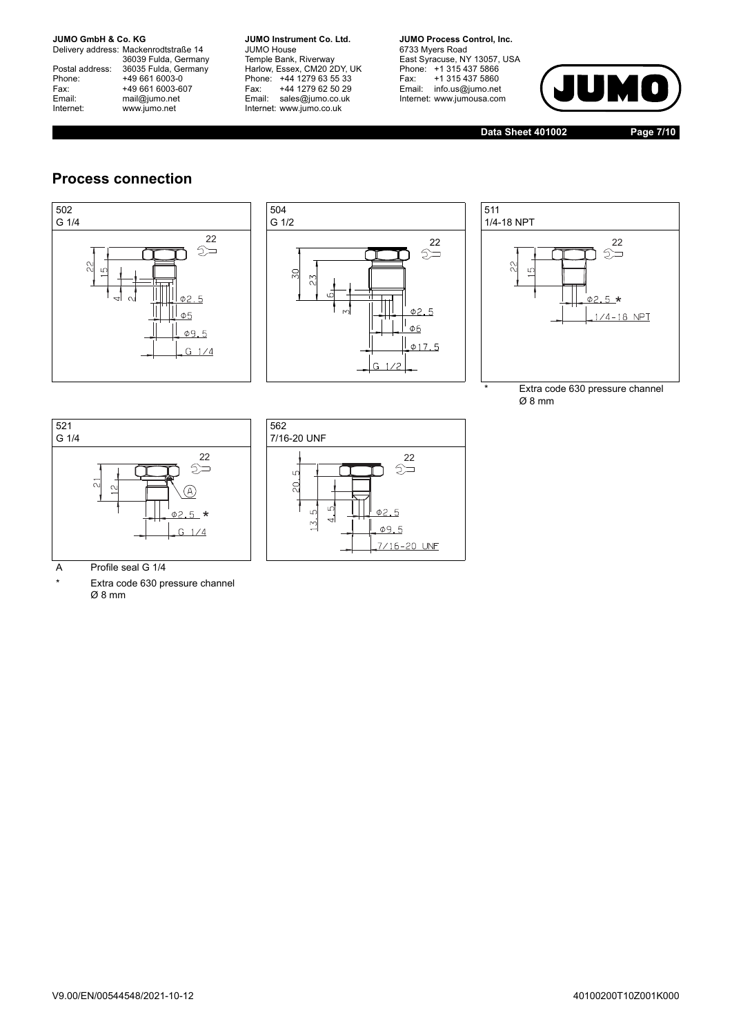Delivery address: Mackenrodtstraße 14 36039 Fulda, Germany<br>Postal address: 36035 Fulda, Germany Phone: +49 661 6003-0<br>
Fax: +49 661 6003-6<br>
Email: mail@jumo.net +49 661 6003-607 Email: mail@jumo.net<br>Internet: www.iumo.net www.jumo.net

**JUMO Instrument Co. Ltd.** JUMO House Temple Bank, Riverway<br>Harlow, Essex, CM20 2DY, UK Phone: +44 1279 63 55 33<br>Fax: +44 1279 62 50 29 +44 1279 62 50 29 Email: sales@jumo.co.uk Internet: www.jumo.co.uk

**JUMO Process Control, Inc.** 6733 Myers Road East Syracuse, NY 13057, USA<br>Phone: +1 315 437 5866<br>Fax: +1 315 437 5860 Email: info.us@jumo.net Internet: www.jumousa.com



**Data Sheet 401002 Page 7/10**

### **Process connection**







Extra code 630 pressure channel Ø 8 mm





A Profile seal G 1/4

\* Extra code 630 pressure channel Ø 8 mm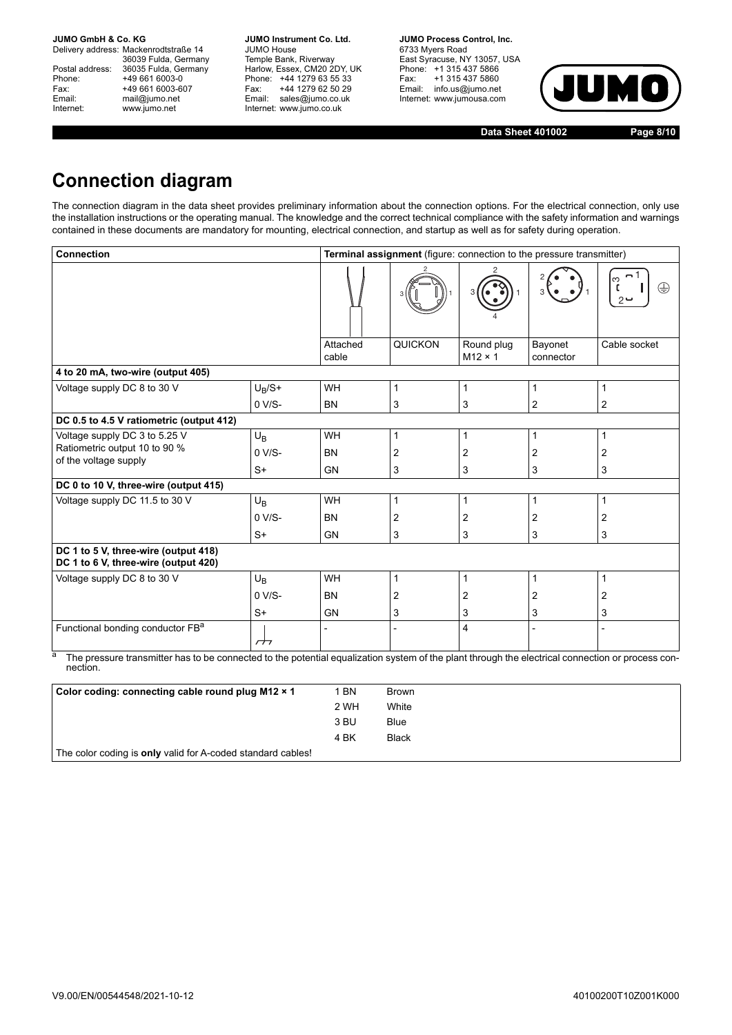Delivery address: Mackenrodtstraße 14 36039 Fulda, Germany<br>Postal address: 36035 Fulda, Germany Phone: +49 661 6003-0<br>
Fax: +49 661 6003-6<br>
Email: mail@jumo.net +49 661 6003-607 mail@jumo.net Internet: www.jumo.net

**JUMO Instrument Co. Ltd.** JUMO House Temple Bank, Riverway<br>Harlow, Essex, CM20 2DY, UK Phone: +44 1279 63 55 33<br>Fax: +44 1279 62 50 29 +44 1279 62 50 29 Email: sales@jumo.co.uk Internet: www.jumo.co.uk

**JUMO Process Control, Inc.** 6733 Myers Road East Syracuse, NY 13057, USA Phone: +1 315 437 5866<br>Fax: +1 315 437 5860 Email: info.us@jumo.net Internet: www.jumousa.com



**Data Sheet 401002 Page 8/10**

## **Connection diagram**

The connection diagram in the data sheet provides preliminary information about the connection options. For the electrical connection, only use the installation instructions or the operating manual. The knowledge and the correct technical compliance with the safety information and warnings contained in these documents are mandatory for mounting, electrical connection, and startup as well as for safety during operation.

| <b>Connection</b>                                                            | Terminal assignment (figure: connection to the pressure transmitter)                                                                                                         |           |                              |                      |                |                 |  |  |  |  |
|------------------------------------------------------------------------------|------------------------------------------------------------------------------------------------------------------------------------------------------------------------------|-----------|------------------------------|----------------------|----------------|-----------------|--|--|--|--|
|                                                                              |                                                                                                                                                                              |           |                              |                      |                | ო<br>⊕<br>$2 -$ |  |  |  |  |
|                                                                              | Attached<br>cable                                                                                                                                                            | QUICKON   | Round plug<br>$M12 \times 1$ | Bayonet<br>connector | Cable socket   |                 |  |  |  |  |
| 4 to 20 mA, two-wire (output 405)                                            |                                                                                                                                                                              |           |                              |                      |                |                 |  |  |  |  |
| Voltage supply DC 8 to 30 V                                                  | $U_B/S+$                                                                                                                                                                     | WH        | 1                            | 1                    | 1              | $\mathbf{1}$    |  |  |  |  |
|                                                                              | $0 V/S-$                                                                                                                                                                     | <b>BN</b> | 3                            | 3                    | 2              | 2               |  |  |  |  |
| DC 0.5 to 4.5 V ratiometric (output 412)                                     |                                                                                                                                                                              |           |                              |                      |                |                 |  |  |  |  |
| Voltage supply DC 3 to 5.25 V                                                | $U_B$                                                                                                                                                                        | WH        | 1                            | 1                    | 1              | $\mathbf{1}$    |  |  |  |  |
| Ratiometric output 10 to 90 %<br>of the voltage supply                       | $0 V/S-$                                                                                                                                                                     | <b>BN</b> | 2                            | 2                    | $\overline{2}$ | 2               |  |  |  |  |
|                                                                              | $S+$                                                                                                                                                                         | <b>GN</b> | 3                            | 3                    | 3              | 3               |  |  |  |  |
| DC 0 to 10 V, three-wire (output 415)                                        |                                                                                                                                                                              |           |                              |                      |                |                 |  |  |  |  |
| Voltage supply DC 11.5 to 30 V                                               | $U_B$                                                                                                                                                                        | <b>WH</b> | 1                            | 1                    | 1              | $\mathbf{1}$    |  |  |  |  |
|                                                                              | $0 V/S-$                                                                                                                                                                     | <b>BN</b> | 2                            | 2                    | 2              | 2               |  |  |  |  |
|                                                                              | $S+$                                                                                                                                                                         | <b>GN</b> | 3                            | 3                    | 3              | 3               |  |  |  |  |
| DC 1 to 5 V, three-wire (output 418)<br>DC 1 to 6 V, three-wire (output 420) |                                                                                                                                                                              |           |                              |                      |                |                 |  |  |  |  |
| Voltage supply DC 8 to 30 V                                                  | $U_{B}$                                                                                                                                                                      | <b>WH</b> | 1                            | $\mathbf{1}$         | 1              | $\mathbf{1}$    |  |  |  |  |
|                                                                              | $0 V/S-$                                                                                                                                                                     | <b>BN</b> | 2                            | 2                    | 2              | 2               |  |  |  |  |
|                                                                              | $S+$                                                                                                                                                                         | <b>GN</b> | 3                            | 3                    | 3              | 3               |  |  |  |  |
| Functional bonding conductor FB <sup>a</sup>                                 |                                                                                                                                                                              |           | 4                            |                      | $\overline{a}$ |                 |  |  |  |  |
| nection.                                                                     | $\overline{\phantom{a}}$<br>The pressure transmitter has to be connected to the potential equalization system of the plant through the electrical connection or process con- |           |                              |                      |                |                 |  |  |  |  |

| Color coding: connecting cable round plug M12 × 1           | 1 BN | Brown        |
|-------------------------------------------------------------|------|--------------|
|                                                             | 2 WH | White        |
|                                                             | 3 BU | <b>Blue</b>  |
|                                                             | 4 BK | <b>Black</b> |
| The color coding is only valid for A-coded standard cables! |      |              |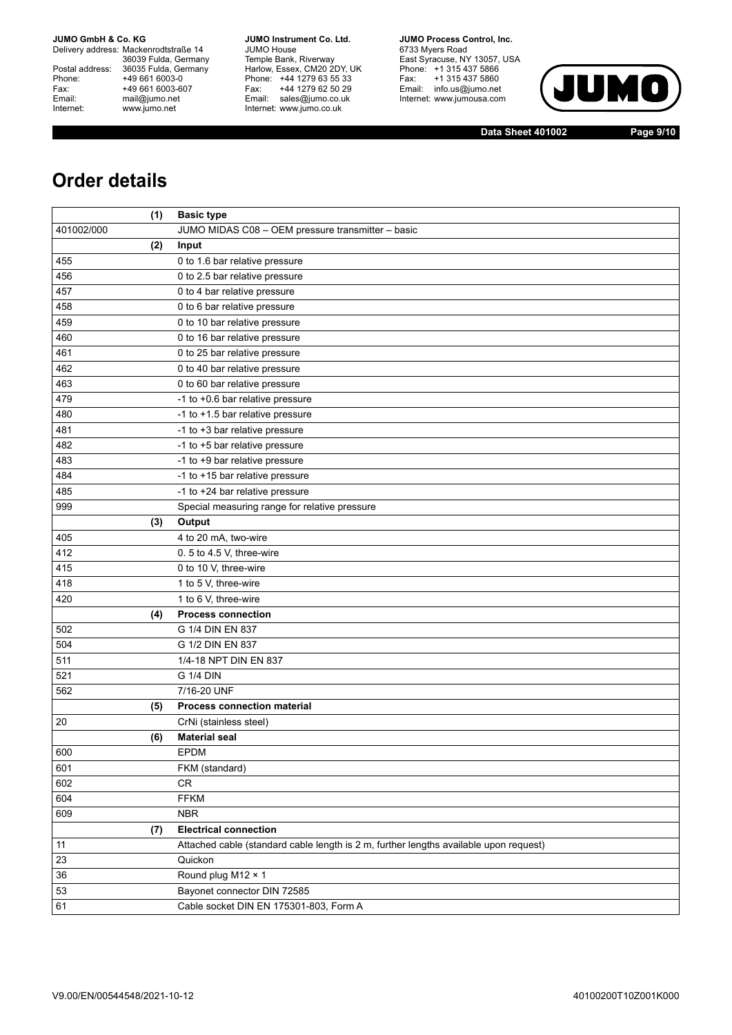Delivery address: Mackenrodtstraße 14 36039 Fulda, Germany<br>Postal address: 36035 Fulda, Germany Phone: +49 661 6003-0<br>
Fax: +49 661 6003-6<br>
Email: mail@jumo.net +49 661 6003-607 Email: mail@jumo.net<br>Internet: www.iumo.net www.jumo.net

**JUMO Instrument Co. Ltd.** JUMO House Temple Bank, Riverway<br>Harlow, Essex, CM20 2DY, UK<br>Phone: +44 1279 63 55 33 Fax: +44 1279 62 50 29 Fax. THE IZIS OF OUR Internet: www.jumo.co.uk

**JUMO Process Control. Inc.** 6733 Myers Road East Syracuse, NY 13057, USA<br>Phone: +1 315 437 5866<br>Fax: +1 315 437 5860 Email: info.us@jumo.net Internet: www.jumousa.com



**Data Sheet 401002 Page 9/10**

## **Order details**

|            | (1) | <b>Basic type</b>                                                                     |
|------------|-----|---------------------------------------------------------------------------------------|
| 401002/000 |     | JUMO MIDAS C08 - OEM pressure transmitter - basic                                     |
|            | (2) | Input                                                                                 |
| 455        |     | 0 to 1.6 bar relative pressure                                                        |
| 456        |     | 0 to 2.5 bar relative pressure                                                        |
| 457        |     | 0 to 4 bar relative pressure                                                          |
| 458        |     | 0 to 6 bar relative pressure                                                          |
| 459        |     | 0 to 10 bar relative pressure                                                         |
| 460        |     | 0 to 16 bar relative pressure                                                         |
| 461        |     | 0 to 25 bar relative pressure                                                         |
| 462        |     | 0 to 40 bar relative pressure                                                         |
| 463        |     | 0 to 60 bar relative pressure                                                         |
| 479        |     | -1 to +0.6 bar relative pressure                                                      |
| 480        |     | -1 to +1.5 bar relative pressure                                                      |
| 481        |     | -1 to +3 bar relative pressure                                                        |
| 482        |     | -1 to +5 bar relative pressure                                                        |
| 483        |     | -1 to +9 bar relative pressure                                                        |
| 484        |     | -1 to +15 bar relative pressure                                                       |
| 485        |     | -1 to +24 bar relative pressure                                                       |
| 999        |     | Special measuring range for relative pressure                                         |
|            | (3) | Output                                                                                |
| 405        |     | 4 to 20 mA, two-wire                                                                  |
| 412        |     | 0.5 to 4.5 V, three-wire                                                              |
| 415        |     | 0 to 10 V, three-wire                                                                 |
| 418        |     | 1 to 5 V, three-wire                                                                  |
| 420        |     | 1 to 6 V, three-wire                                                                  |
|            | (4) | <b>Process connection</b>                                                             |
| 502        |     | G 1/4 DIN EN 837                                                                      |
| 504        |     | G 1/2 DIN EN 837                                                                      |
| 511        |     | 1/4-18 NPT DIN EN 837                                                                 |
| 521        |     | G 1/4 DIN                                                                             |
| 562        |     | 7/16-20 UNF                                                                           |
|            | (5) | <b>Process connection material</b>                                                    |
| 20         |     | CrNi (stainless steel)                                                                |
|            | (6) | <b>Material seal</b>                                                                  |
| 600        |     | EPDM                                                                                  |
| 601        |     | FKM (standard)                                                                        |
| 602        |     | CR                                                                                    |
| 604        |     | <b>FFKM</b>                                                                           |
| 609        |     | <b>NBR</b>                                                                            |
|            | (7) | <b>Electrical connection</b>                                                          |
| 11         |     | Attached cable (standard cable length is 2 m, further lengths available upon request) |
| 23         |     | Quickon                                                                               |
| 36         |     | Round plug M12 × 1                                                                    |
| 53         |     | Bayonet connector DIN 72585                                                           |
| 61         |     | Cable socket DIN EN 175301-803, Form A                                                |